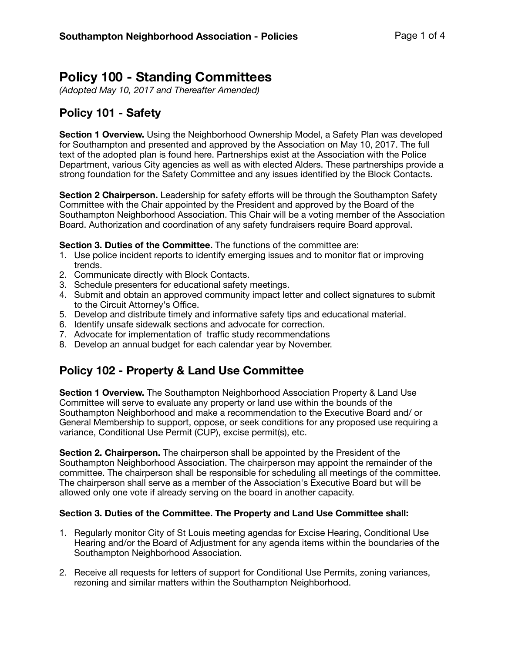# **Policy 100 - Standing Committees**

*(Adopted May 10, 2017 and Thereafter Amended)* 

## **Policy 101 - Safety**

**Section 1 Overview.** Using the Neighborhood Ownership Model, a Safety Plan was developed for Southampton and presented and approved by the Association on May 10, 2017. The full text of the adopted plan is found here. Partnerships exist at the Association with the Police Department, various City agencies as well as with elected Alders. These partnerships provide a strong foundation for the Safety Committee and any issues identified by the Block Contacts.

**Section 2 Chairperson.** Leadership for safety efforts will be through the Southampton Safety Committee with the Chair appointed by the President and approved by the Board of the Southampton Neighborhood Association. This Chair will be a voting member of the Association Board. Authorization and coordination of any safety fundraisers require Board approval.

**Section 3. Duties of the Committee.** The functions of the committee are:

- 1. Use police incident reports to identify emerging issues and to monitor flat or improving trends.
- 2. Communicate directly with Block Contacts.
- 3. Schedule presenters for educational safety meetings.
- 4. Submit and obtain an approved community impact letter and collect signatures to submit to the Circuit Attorney's Office.
- 5. Develop and distribute timely and informative safety tips and educational material.
- 6. Identify unsafe sidewalk sections and advocate for correction.
- 7. Advocate for implementation of traffic study recommendations
- 8. Develop an annual budget for each calendar year by November.

### **Policy 102 - Property & Land Use Committee**

**Section 1 Overview.** The Southampton Neighborhood Association Property & Land Use Committee will serve to evaluate any property or land use within the bounds of the Southampton Neighborhood and make a recommendation to the Executive Board and/ or General Membership to support, oppose, or seek conditions for any proposed use requiring a variance, Conditional Use Permit (CUP), excise permit(s), etc.

**Section 2. Chairperson.** The chairperson shall be appointed by the President of the Southampton Neighborhood Association. The chairperson may appoint the remainder of the committee. The chairperson shall be responsible for scheduling all meetings of the committee. The chairperson shall serve as a member of the Association's Executive Board but will be allowed only one vote if already serving on the board in another capacity.

#### **Section 3. Duties of the Committee. The Property and Land Use Committee shall:**

- 1. Regularly monitor City of St Louis meeting agendas for Excise Hearing, Conditional Use Hearing and/or the Board of Adjustment for any agenda items within the boundaries of the Southampton Neighborhood Association.
- 2. Receive all requests for letters of support for Conditional Use Permits, zoning variances, rezoning and similar matters within the Southampton Neighborhood.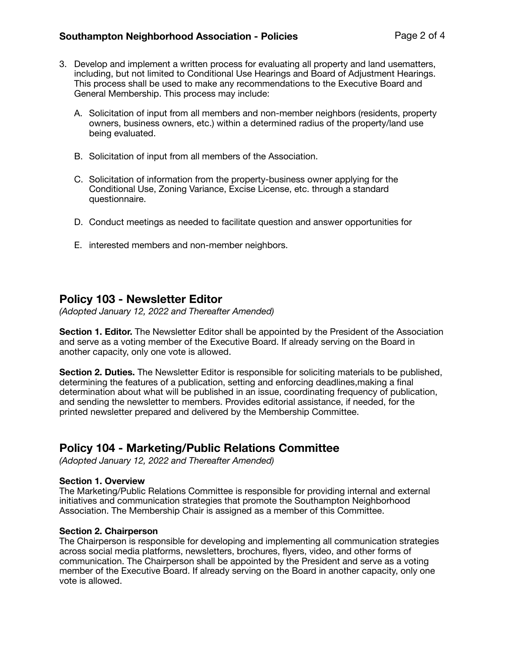- 3. Develop and implement a written process for evaluating all property and land usematters, including, but not limited to Conditional Use Hearings and Board of Adjustment Hearings. This process shall be used to make any recommendations to the Executive Board and General Membership. This process may include:
	- A. Solicitation of input from all members and non-member neighbors (residents, property owners, business owners, etc.) within a determined radius of the property/land use being evaluated.
	- B. Solicitation of input from all members of the Association.
	- C. Solicitation of information from the property-business owner applying for the Conditional Use, Zoning Variance, Excise License, etc. through a standard questionnaire.
	- D. Conduct meetings as needed to facilitate question and answer opportunities for
	- E. interested members and non-member neighbors.

### **Policy 103 - Newsletter Editor**

*(Adopted January 12, 2022 and Thereafter Amended)* 

**Section 1. Editor.** The Newsletter Editor shall be appointed by the President of the Association and serve as a voting member of the Executive Board. If already serving on the Board in another capacity, only one vote is allowed.

**Section 2. Duties.** The Newsletter Editor is responsible for soliciting materials to be published, determining the features of a publication, setting and enforcing deadlines,making a final determination about what will be published in an issue, coordinating frequency of publication, and sending the newsletter to members. Provides editorial assistance, if needed, for the printed newsletter prepared and delivered by the Membership Committee.

### **Policy 104 - Marketing/Public Relations Committee**

*(Adopted January 12, 2022 and Thereafter Amended)* 

#### **Section 1. Overview**

The Marketing/Public Relations Committee is responsible for providing internal and external initiatives and communication strategies that promote the Southampton Neighborhood Association. The Membership Chair is assigned as a member of this Committee.

#### **Section 2. Chairperson**

The Chairperson is responsible for developing and implementing all communication strategies across social media platforms, newsletters, brochures, flyers, video, and other forms of communication. The Chairperson shall be appointed by the President and serve as a voting member of the Executive Board. If already serving on the Board in another capacity, only one vote is allowed.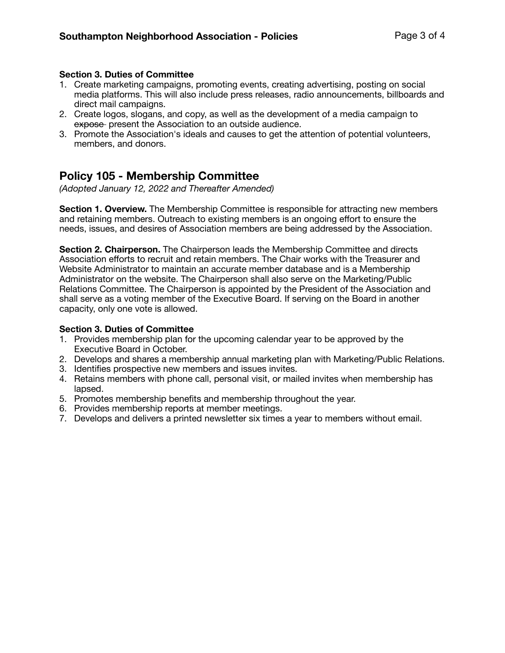#### **Section 3. Duties of Committee**

- 1. Create marketing campaigns, promoting events, creating advertising, posting on social media platforms. This will also include press releases, radio announcements, billboards and direct mail campaigns.
- 2. Create logos, slogans, and copy, as well as the development of a media campaign to expose present the Association to an outside audience.
- 3. Promote the Association's ideals and causes to get the attention of potential volunteers, members, and donors.

### **Policy 105 - Membership Committee**

*(Adopted January 12, 2022 and Thereafter Amended)* 

**Section 1. Overview.** The Membership Committee is responsible for attracting new members and retaining members. Outreach to existing members is an ongoing effort to ensure the needs, issues, and desires of Association members are being addressed by the Association.

**Section 2. Chairperson.** The Chairperson leads the Membership Committee and directs Association efforts to recruit and retain members. The Chair works with the Treasurer and Website Administrator to maintain an accurate member database and is a Membership Administrator on the website. The Chairperson shall also serve on the Marketing/Public Relations Committee. The Chairperson is appointed by the President of the Association and shall serve as a voting member of the Executive Board. If serving on the Board in another capacity, only one vote is allowed.

#### **Section 3. Duties of Committee**

- 1. Provides membership plan for the upcoming calendar year to be approved by the Executive Board in October.
- 2. Develops and shares a membership annual marketing plan with Marketing/Public Relations.
- 3. Identifies prospective new members and issues invites.
- 4. Retains members with phone call, personal visit, or mailed invites when membership has lapsed.
- 5. Promotes membership benefits and membership throughout the year.
- 6. Provides membership reports at member meetings.
- 7. Develops and delivers a printed newsletter six times a year to members without email.